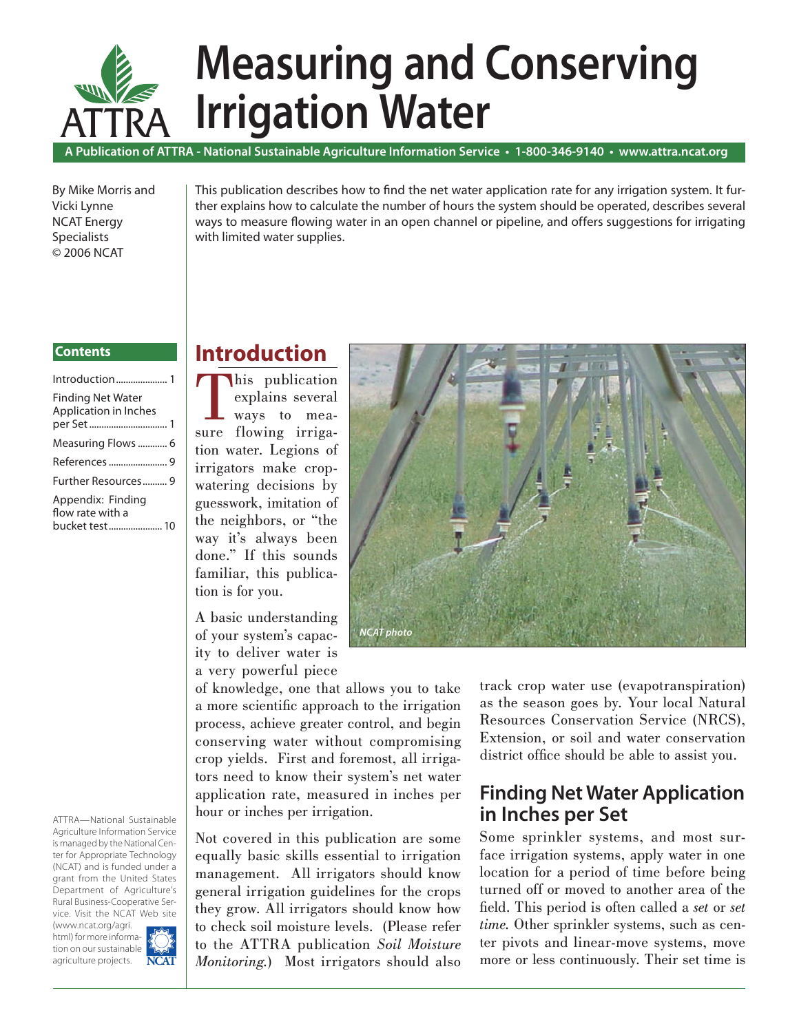

# **Measuring and Conserving Irrigation Water**

**A Publication of ATTRA - National Sustainable Agriculture Information Service • 1-800-346-9140 • www.attra.ncat.org**

By Mike Morris and Vicki Lynne NCAT Energy Specialists © 2006 NCAT

This publication describes how to find the net water application rate for any irrigation system. It further explains how to calculate the number of hours the system should be operated, describes several ways to measure flowing water in an open channel or pipeline, and offers suggestions for irrigating with limited water supplies.

#### Introduction ..................... 1 **Contents**

ATTRA—National Sustainable Agriculture Information Service is managed by the National Center for Appropriate Technology (NCAT) and is funded under a grant from the United States Department of Agriculture's Rural Business-Cooperative Service. Visit the NCAT Web site

(www.ncat.org/agri. html) for more information on our sustainable agriculture projects. **NCA** 



## **Introduction**

his publication explains several ways to measure flowing irrigation water. Legions of irrigators make cropwatering decisions by guesswork, imitation of the neighbors, or "the way it's always been done." If this sounds familiar, this publication is for you.

A basic understanding of your system's capacity to deliver water is a very powerful piece

of knowledge, one that allows you to take a more scientific approach to the irrigation process, achieve greater control, and begin conserving water without compromising crop yields. First and foremost, all irrigators need to know their system's net water application rate, measured in inches per hour or inches per irrigation.

Not covered in this publication are some equally basic skills essential to irrigation management. All irrigators should know general irrigation guidelines for the crops they grow. All irrigators should know how to check soil moisture levels. (Please refer to the ATTRA publication *Soil Moisture Monitoring.*) Most irrigators should also



track crop water use (evapotranspiration) as the season goes by. Your local Natural Resources Conservation Service (NRCS), Extension, or soil and water conservation district office should be able to assist you.

## **Finding Net Water Application in Inches per Set**

Some sprinkler systems, and most surface irrigation systems, apply water in one location for a period of time before being turned off or moved to another area of the fi eld. This period is often called a *set* or *set time.* Other sprinkler systems, such as center pivots and linear-move systems, move more or less continuously. Their set time is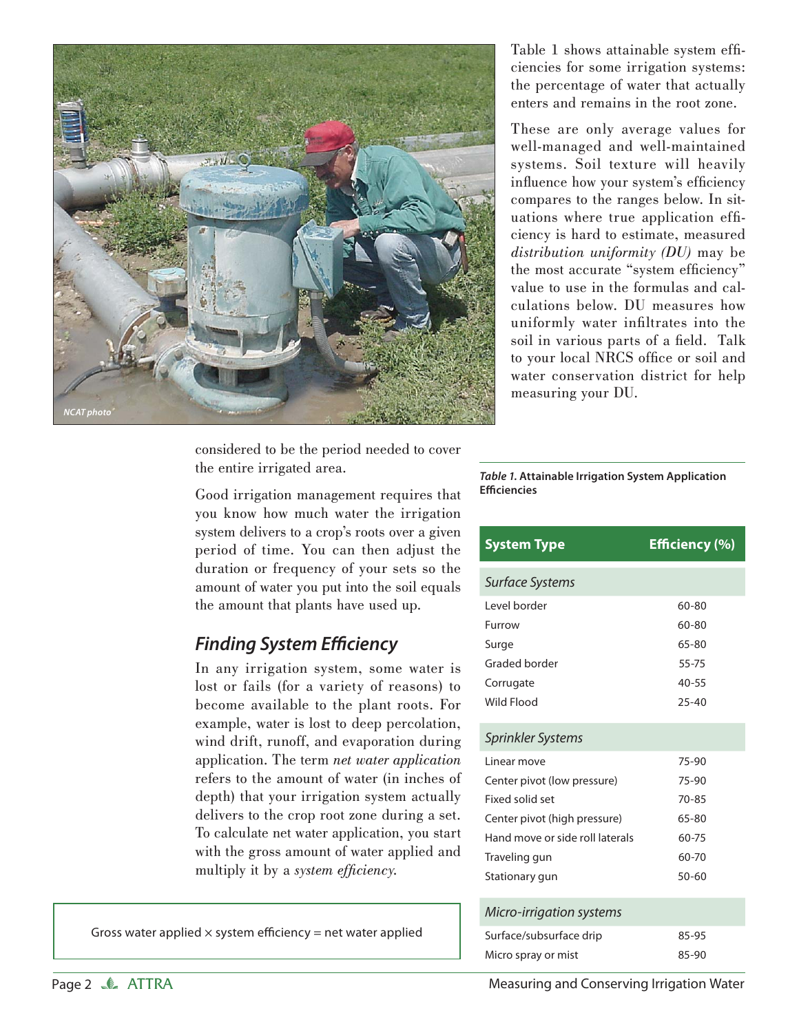

Table 1 shows attainable system efficiencies for some irrigation systems: the percentage of water that actually enters and remains in the root zone.

These are only average values for well-managed and well-maintained systems. Soil texture will heavily influence how your system's efficiency compares to the ranges below. In situations where true application efficiency is hard to estimate, measured *distribution uniformity (DU)* may be the most accurate "system efficiency" value to use in the formulas and calculations below. DU measures how uniformly water infiltrates into the soil in various parts of a field. Talk to your local NRCS office or soil and water conservation district for help measuring your DU.

considered to be the period needed to cover the entire irrigated area.

Good irrigation management requires that you know how much water the irrigation system delivers to a crop's roots over a given period of time. You can then adjust the duration or frequency of your sets so the amount of water you put into the soil equals the amount that plants have used up.

## **Finding System Efficiency**

In any irrigation system, some water is lost or fails (for a variety of reasons) to become available to the plant roots. For example, water is lost to deep percolation, wind drift, runoff, and evaporation during application. The term *net water application* refers to the amount of water (in inches of depth) that your irrigation system actually delivers to the crop root zone during a set. To calculate net water application, you start with the gross amount of water applied and multiply it by a *system efficiency*.

Gross water applied  $\times$  system efficiency = net water applied

*Table 1.* **Attainable Irrigation System Application Effi ciencies**

| <b>System Type</b>              | Efficiency (%) |
|---------------------------------|----------------|
| Surface Systems                 |                |
| Level border                    | 60-80          |
| Furrow                          | 60-80          |
| Surge                           | 65-80          |
| Graded border                   | 55-75          |
| Corrugate                       | $40 - 55$      |
| Wild Flood                      | $25 - 40$      |
| Sprinkler Systems               |                |
| Linear move                     | 75-90          |
| Center pivot (low pressure)     | 75-90          |
| <b>Fixed solid set</b>          | $70 - 85$      |
| Center pivot (high pressure)    | 65-80          |
| Hand move or side roll laterals | 60-75          |
| Traveling gun                   | 60-70          |
| Stationary gun                  | $50 - 60$      |
| Micro-irrigation systems        |                |
| Surface/subsurface drip         | 85-95          |
| Micro spray or mist             | 85-90          |

Page 2 **ATTRA** Measuring and Conserving Irrigation Water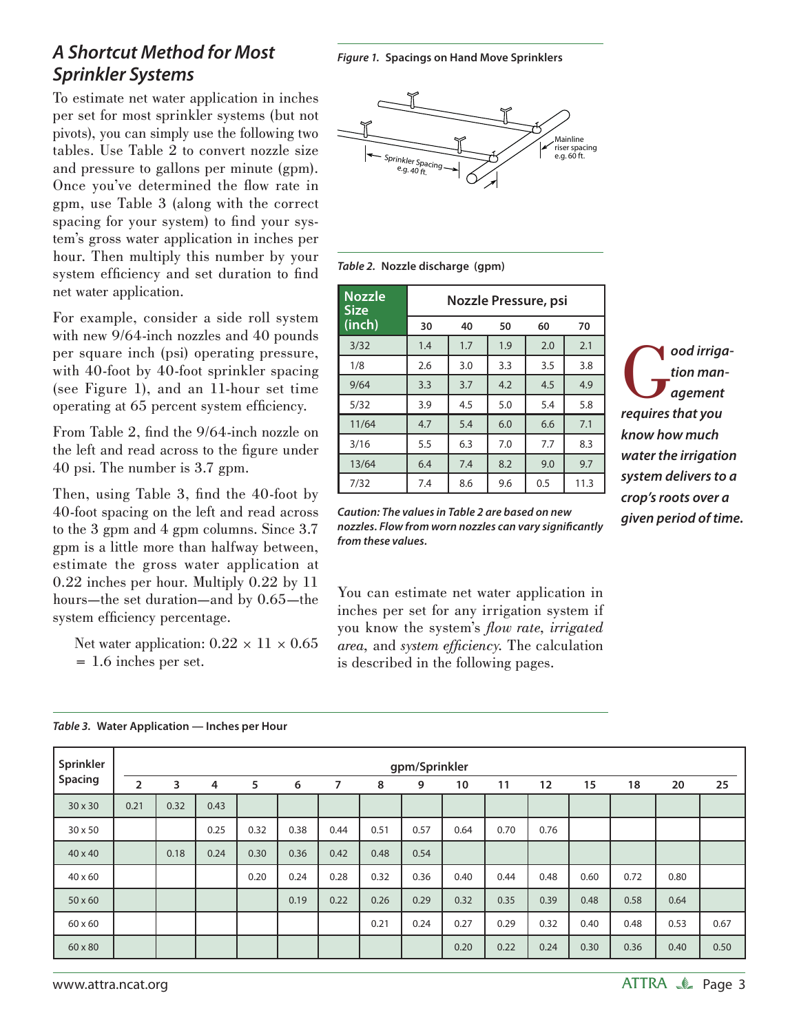## *A Shortcut Method for Most Sprinkler Systems*

To estimate net water application in inches per set for most sprinkler systems (but not pivots), you can simply use the following two tables. Use Table 2 to convert nozzle size and pressure to gallons per minute (gpm). Once you've determined the flow rate in gpm, use Table 3 (along with the correct spacing for your system) to find your system's gross water application in inches per hour. Then multiply this number by your system efficiency and set duration to find net water application.

For example, consider a side roll system with new 9/64-inch nozzles and 40 pounds per square inch (psi) operating pressure, with 40-foot by 40-foot sprinkler spacing (see Figure 1), and an 11-hour set time operating at 65 percent system efficiency.

From Table 2, find the 9/64-inch nozzle on the left and read across to the figure under 40 psi. The number is 3.7 gpm.

Then, using Table 3, find the 40-foot by 40-foot spacing on the left and read across to the 3 gpm and 4 gpm columns. Since 3.7 gpm is a little more than halfway between, estimate the gross water application at 0.22 inches per hour. Multiply 0.22 by 11 hours—the set duration—and by 0.65—the system efficiency percentage.

Net water application:  $0.22 \times 11 \times 0.65$ = 1.6 inches per set.

*Figure 1.* **Spacings on Hand Move Sprinklers**





| <b>Nozzle</b><br>Size | Nozzle Pressure, psi |     |     |     |      |  |  |
|-----------------------|----------------------|-----|-----|-----|------|--|--|
| (inch)                | 30                   | 40  | 50  | 60  | 70   |  |  |
| 3/32                  | 1.4                  | 1.7 | 1.9 | 2.0 | 2.1  |  |  |
| 1/8                   | 2.6                  | 3.0 | 3.3 | 3.5 | 3.8  |  |  |
| 9/64                  | 3.3                  | 3.7 | 4.2 | 4.5 | 4.9  |  |  |
| 5/32                  | 3.9                  | 4.5 | 5.0 | 5.4 | 5.8  |  |  |
| 11/64                 | 4.7                  | 5.4 | 6.0 | 6.6 | 7.1  |  |  |
| 3/16                  | 5.5                  | 6.3 | 7.0 | 7.7 | 8.3  |  |  |
| 13/64                 | 6.4                  | 7.4 | 8.2 | 9.0 | 9.7  |  |  |
| 7/32                  | 7.4                  | 8.6 | 9.6 | 0.5 | 11.3 |  |  |

**G**ood irriga-<br>tion man-<br>requires that you *tion management requires that you know how much water the irrigation system delivers to a crop's roots over a given period of time.*

*Caution: The values in Table 2 are based on new nozzles. Flow from worn nozzles can vary signifi cantly from these values.*

You can estimate net water application in inches per set for any irrigation system if you know the system's *flow rate*, *irrigated area*, and *system efficiency*. The calculation is described in the following pages.

|  | Table 3. Water Application — Inches per Hour |  |
|--|----------------------------------------------|--|
|--|----------------------------------------------|--|

| Sprinkler      | gpm/Sprinkler  |      |                |      |      |      |      |      |      |      |                   |      |      |      |      |
|----------------|----------------|------|----------------|------|------|------|------|------|------|------|-------------------|------|------|------|------|
| Spacing        | $\overline{2}$ | 3    | $\overline{4}$ | 5    | 6    | 7    | 8    | 9    | 10   | 11   | $12 \overline{ }$ | 15   | 18   | 20   | 25   |
| $30 \times 30$ | 0.21           | 0.32 | 0.43           |      |      |      |      |      |      |      |                   |      |      |      |      |
| 30 x 50        |                |      | 0.25           | 0.32 | 0.38 | 0.44 | 0.51 | 0.57 | 0.64 | 0.70 | 0.76              |      |      |      |      |
| $40 \times 40$ |                | 0.18 | 0.24           | 0.30 | 0.36 | 0.42 | 0.48 | 0.54 |      |      |                   |      |      |      |      |
| $40 \times 60$ |                |      |                | 0.20 | 0.24 | 0.28 | 0.32 | 0.36 | 0.40 | 0.44 | 0.48              | 0.60 | 0.72 | 0.80 |      |
| $50 \times 60$ |                |      |                |      | 0.19 | 0.22 | 0.26 | 0.29 | 0.32 | 0.35 | 0.39              | 0.48 | 0.58 | 0.64 |      |
| $60 \times 60$ |                |      |                |      |      |      | 0.21 | 0.24 | 0.27 | 0.29 | 0.32              | 0.40 | 0.48 | 0.53 | 0.67 |
| 60 x 80        |                |      |                |      |      |      |      |      | 0.20 | 0.22 | 0.24              | 0.30 | 0.36 | 0.40 | 0.50 |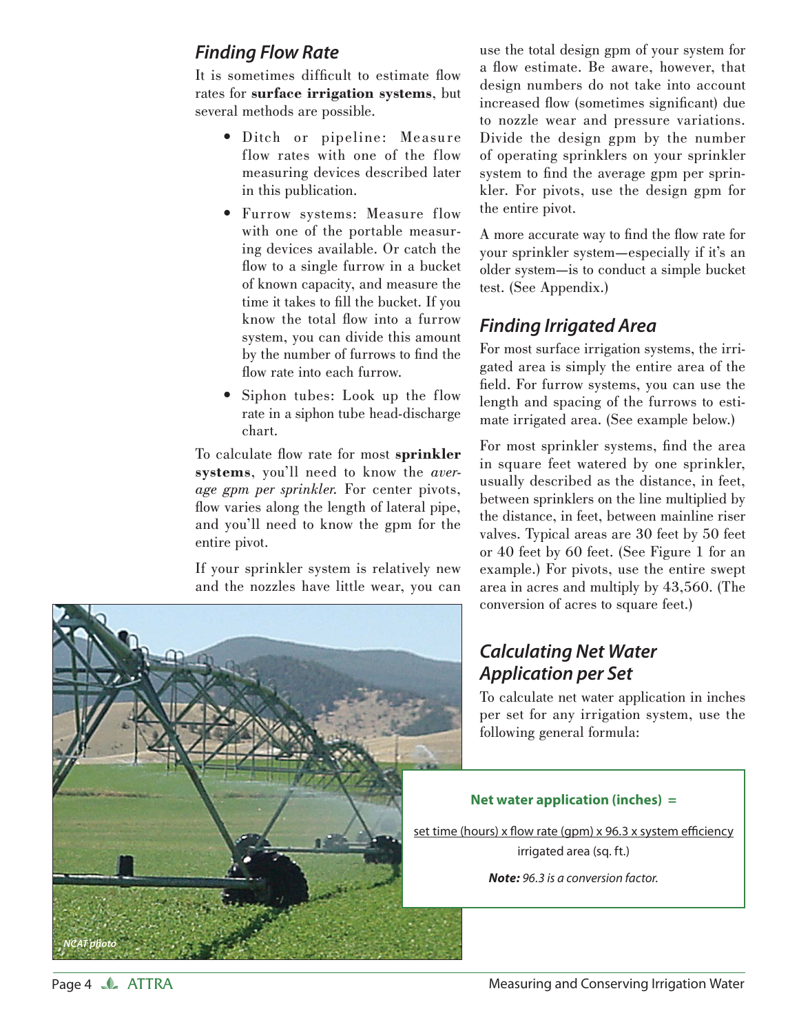## *Finding Flow Rate*

It is sometimes difficult to estimate flow rates for **surface irrigation systems**, but several methods are possible.

- Ditch or pipeline: Measure flow rates with one of the flow measuring devices described later in this publication.
- Furrow systems: Measure flow with one of the portable measuring devices available. Or catch the flow to a single furrow in a bucket of known capacity, and measure the time it takes to fill the bucket. If you know the total flow into a furrow system, you can divide this amount by the number of furrows to find the flow rate into each furrow.
- Siphon tubes: Look up the flow rate in a siphon tube head-discharge chart.

To calculate flow rate for most **sprinkler systems**, you'll need to know the *average gpm per sprinkler.* For center pivots, flow varies along the length of lateral pipe, and you'll need to know the gpm for the entire pivot.

If your sprinkler system is relatively new and the nozzles have little wear, you can



A more accurate way to find the flow rate for your sprinkler system—especially if it's an older system—is to conduct a simple bucket test. (See Appendix.)

## *Finding Irrigated Area*

For most surface irrigation systems, the irrigated area is simply the entire area of the field. For furrow systems, you can use the length and spacing of the furrows to estimate irrigated area. (See example below.)

For most sprinkler systems, find the area in square feet watered by one sprinkler, usually described as the distance, in feet, between sprinklers on the line multiplied by the distance, in feet, between mainline riser valves. Typical areas are 30 feet by 50 feet or 40 feet by 60 feet. (See Figure 1 for an example.) For pivots, use the entire swept area in acres and multiply by 43,560. (The conversion of acres to square feet.)

## *Calculating Net Water Application per Set*

To calculate net water application in inches per set for any irrigation system, use the following general formula:

#### **Net water application (inches) =**

set time (hours) x flow rate (gpm) x 96.3 x system efficiency irrigated area (sq. ft.)

*Note:* 96.3 is a conversion factor.

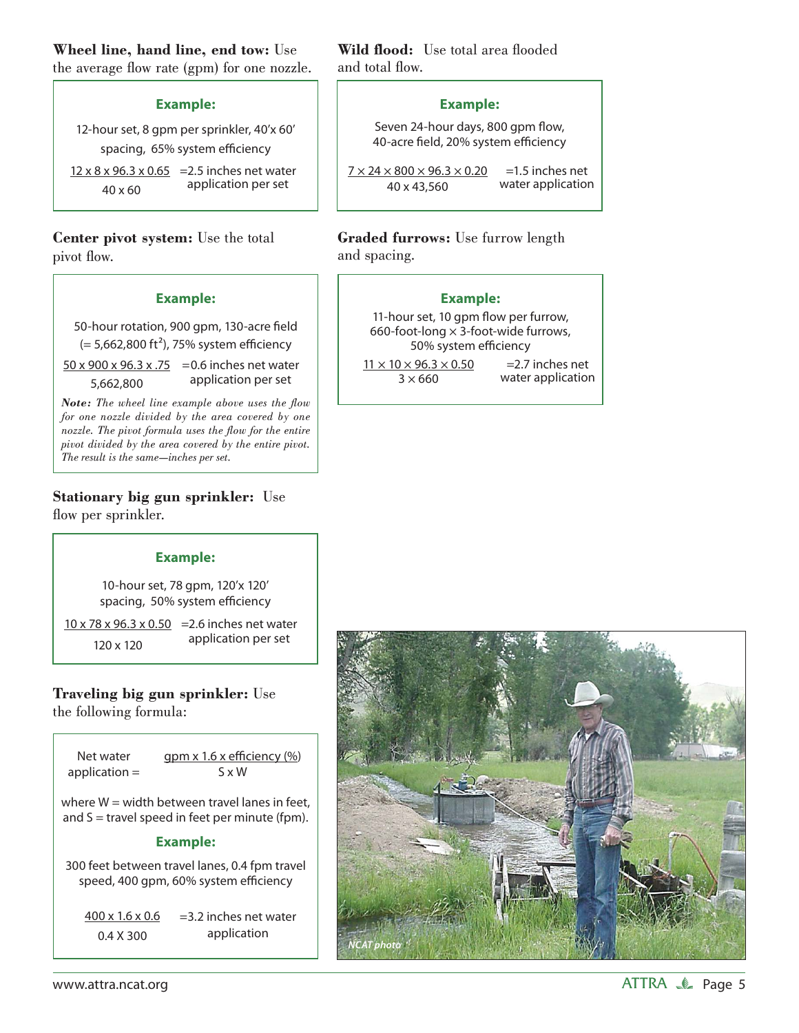# **Wheel line, hand line, end tow:** Use

the average flow rate (gpm) for one nozzle.

#### **Example:**

12-hour set, 8 gpm per sprinkler, 40'x 60' spacing, 65% system efficiency

 $12 \times 8 \times 96.3 \times 0.65$  = 2.5 inches net water 40 x 60 application per set

**Center pivot system:** Use the total pivot flow.

#### **Example:**

50-hour rotation, 900 gpm, 130-acre field  $(= 5,662,800 \text{ ft}^2)$ , 75% system efficiency

50 x 900 x 96.3 x .75 =0.6 inches net water 5,662,800 application per set

*Note: The wheel line example above uses the flow for one nozzle divided by the area covered by one nozzle. The pivot formula uses the flow for the entire pivot divided by the area covered by the entire pivot. The result is the same—inches per set.* 

**Stationary big gun sprinkler:** Use flow per sprinkler.

#### **Example:**

10-hour set, 78 gpm, 120'x 120' spacing, 50% system efficiency

10 x 78 x 96.3 x 0.50 =2.6 inches net water 120 x 120 application per set

**Traveling big gun sprinkler:** Use the following formula:

| Net water       | $gpm x 1.6 x$ efficiency $\left(\frac{9}{6}\right)$                                                 |
|-----------------|-----------------------------------------------------------------------------------------------------|
| application $=$ | S x W                                                                                               |
|                 | where $W =$ width between travel lanes in feet,<br>and $S =$ travel speed in feet per minute (fpm). |

#### **Example:**

300 feet between travel lanes, 0.4 fpm travel speed, 400 gpm, 60% system efficiency

400 x 1.6 x 0.6 0.4 X 300 =3.2 inches net water application

**Wild flood:** Use total area flooded and total flow.

#### **Example:**

Seven 24-hour days, 800 gpm flow, 40-acre field, 20% system efficiency

 $7 \times 24 \times 800 \times 96.3 \times 0.20$ 40 x 43,560 =1.5 inches net water application

#### **Graded furrows:** Use furrow length and spacing.

#### **Example:**

11-hour set, 10 gpm flow per furrow, 660-foot-long  $\times$  3-foot-wide furrows, 50% system efficiency

 $11 \times 10 \times 96.3 \times 0.50$  $3 \times 660$ 

=2.7 inches net water application

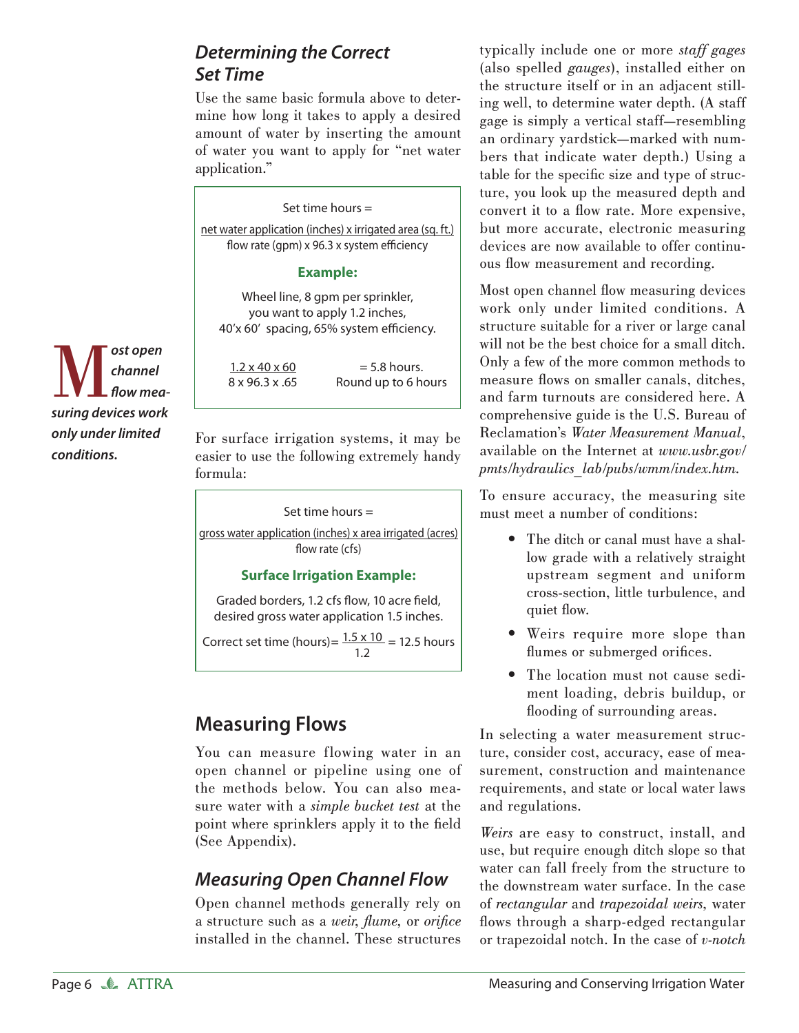## *Determining the Correct Set Time*

Use the same basic formula above to determine how long it takes to apply a desired amount of water by inserting the amount of water you want to apply for "net water application."

Set time hours = net water application (inches) x irrigated area (sq. ft.) flow rate (qpm)  $x$  96.3  $x$  system efficiency

#### **Example:**

Wheel line, 8 gpm per sprinkler, you want to apply 1.2 inches, 40'x 60' spacing, 65% system efficiency.

 $= 5.8$  hours. Round up to 6 hours  $1.2 \times 40 \times 60$ 8 x 96.3 x .65

For surface irrigation systems, it may be easier to use the following extremely handy formula:

Set time hours = gross water application (inches) x area irrigated (acres) flow rate (cfs)

#### **Surface Irrigation Example:**

Graded borders, 1.2 cfs flow, 10 acre field, desired gross water application 1.5 inches.

Correct set time (hours)=  $\frac{1.5 \times 10}{1.5}$  = 12.5 hours 1.2

## **Measuring Flows**

You can measure flowing water in an open channel or pipeline using one of the methods below. You can also measure water with a *simple bucket test* at the point where sprinklers apply it to the field (See Appendix).

## *Measuring Open Channel Flow*

Open channel methods generally rely on a structure such as a *weir*, *flume*, or *orifice* installed in the channel. These structures typically include one or more *staff gages*  (also spelled *gauges*), installed either on the structure itself or in an adjacent stilling well, to determine water depth. (A staff gage is simply a vertical staff—resembling an ordinary yardstick—marked with numbers that indicate water depth.) Using a table for the specific size and type of structure, you look up the measured depth and convert it to a flow rate. More expensive, but more accurate, electronic measuring devices are now available to offer continuous flow measurement and recording.

Most open channel flow measuring devices work only under limited conditions. A structure suitable for a river or large canal will not be the best choice for a small ditch. Only a few of the more common methods to measure flows on smaller canals, ditches. and farm turnouts are considered here. A comprehensive guide is the U.S. Bureau of Reclamation's *Water Measurement Manual*, available on the Internet at *www.usbr.gov/ pmts/hydraulics\_lab/pubs/wmm/index.htm.*

To ensure accuracy, the measuring site must meet a number of conditions:

- The ditch or canal must have a shallow grade with a relatively straight upstream segment and uniform cross-section, little turbulence, and quiet flow.
- Weirs require more slope than flumes or submerged orifices.
- The location must not cause sedi-• ment loading, debris buildup, or flooding of surrounding areas.

In selecting a water measurement structure, consider cost, accuracy, ease of measurement, construction and maintenance requirements, and state or local water laws and regulations.

*Weirs* are easy to construct, install, and use, but require enough ditch slope so that water can fall freely from the structure to the downstream water surface. In the case of *rectangular* and *trapezoidal weirs,* water flows through a sharp-edged rectangular or trapezoidal notch. In the case of *v-notch* 

M*ost open suring devices work channel*  flow mea*only under limited conditions.*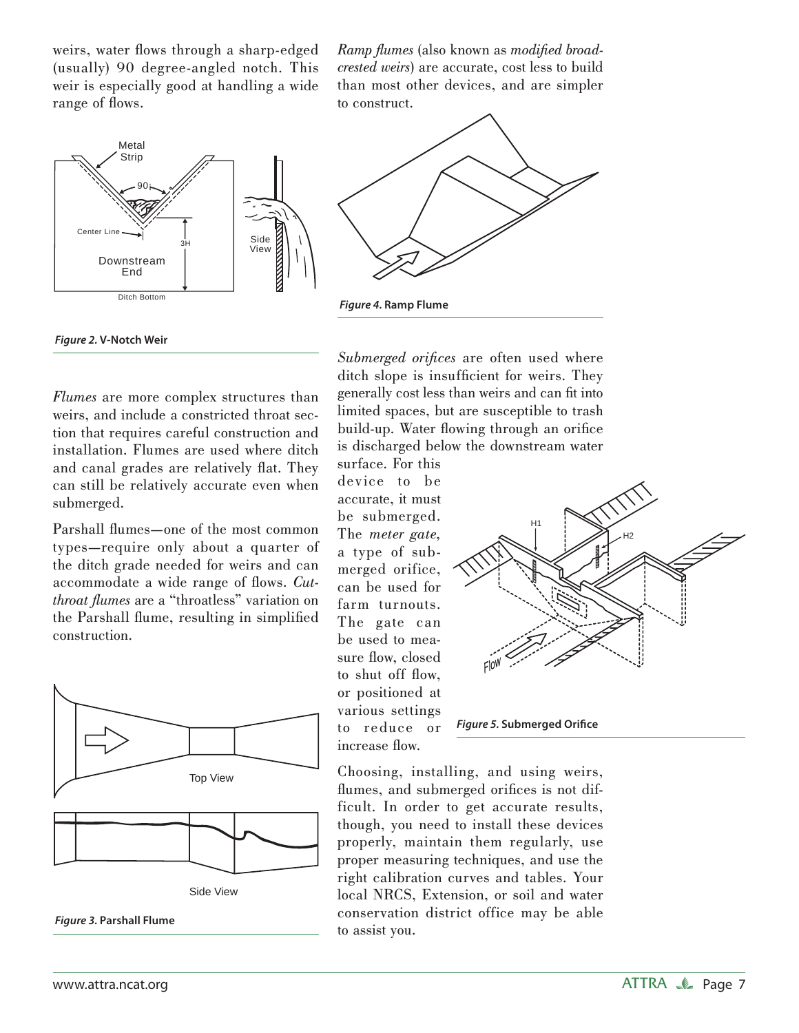weirs, water flows through a sharp-edged (usually) 90 degree-angled notch. This weir is especially good at handling a wide range of flows.



 *Figure 2.* **V-Notch Weir**

Ramp flumes (also known as *modified broadcrested weirs*) are accurate, cost less to build than most other devices, and are simpler to construct.



*Submerged orifices* are often used where ditch slope is insufficient for weirs. They generally cost less than weirs and can fi t into limited spaces, but are susceptible to trash build-up. Water flowing through an orifice is discharged below the downstream water surface. For this

device to be accurate, it must be submerged. The *meter gate,* a type of submerged orifice, can be used for farm turnouts. The gate can be used to measure flow, closed to shut off flow, or positioned at various settings to reduce or increase flow.



**Figure 5. Submerged Orifice** 

Choosing, installing, and using weirs, flumes, and submerged orifices is not difficult. In order to get accurate results, though, you need to install these devices properly, maintain them regularly, use proper measuring techniques, and use the right calibration curves and tables. Your local NRCS, Extension, or soil and water conservation district office may be able to assist you.

*Flumes* are more complex structures than weirs, and include a constricted throat section that requires careful construction and installation. Flumes are used where ditch and canal grades are relatively flat. They can still be relatively accurate even when submerged.

Parshall flumes—one of the most common types—require only about a quarter of the ditch grade needed for weirs and can accommodate a wide range of flows. *Cutthroat flumes* are a "throatless" variation on the Parshall flume, resulting in simplified construction.





 *Figure 3.* **Parshall Flume**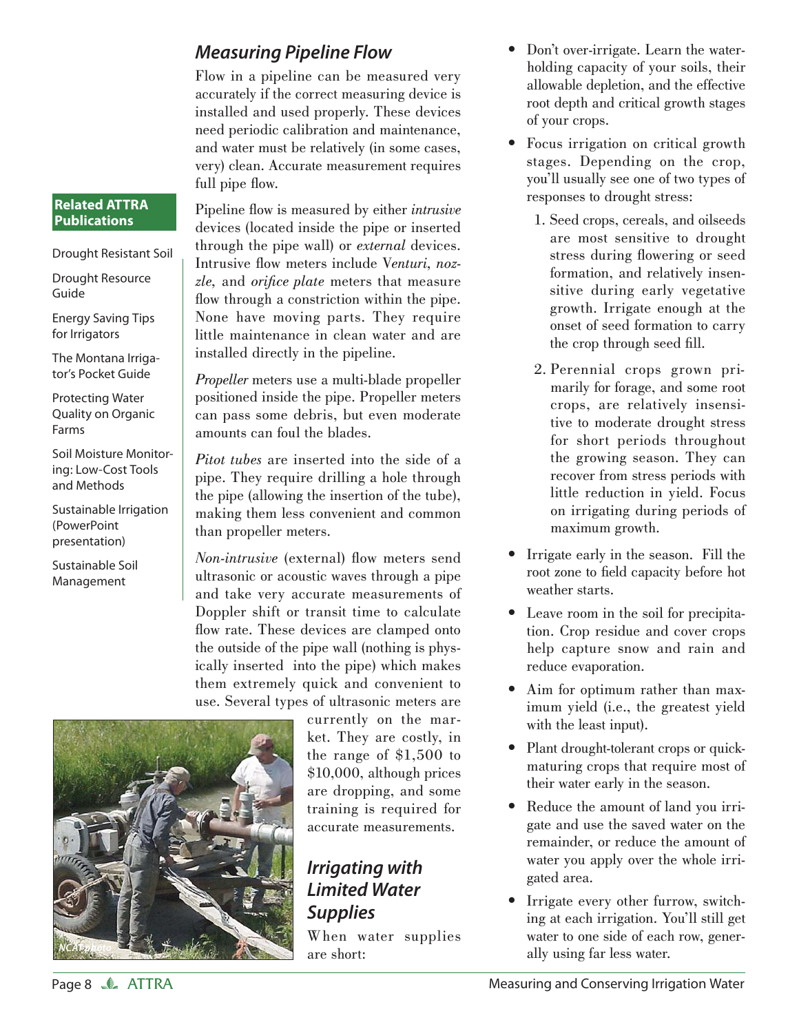## *Measuring Pipeline Flow*

Flow in a pipeline can be measured very accurately if the correct measuring device is installed and used properly. These devices need periodic calibration and maintenance, and water must be relatively (in some cases, very) clean. Accurate measurement requires full pipe flow.

Pipeline flow is measured by either *intrusive* devices (located inside the pipe or inserted through the pipe wall) or *external* devices. Intrusive flow meters include Venturi, nozzle, and *orifice plate* meters that measure flow through a constriction within the pipe. None have moving parts. They require little maintenance in clean water and are installed directly in the pipeline.

*Propeller* meters use a multi-blade propeller positioned inside the pipe. Propeller meters can pass some debris, but even moderate amounts can foul the blades.

*Pitot tubes* are inserted into the side of a pipe. They require drilling a hole through the pipe (allowing the insertion of the tube), making them less convenient and common than propeller meters.

*Non-intrusive* (external) flow meters send ultrasonic or acoustic waves through a pipe and take very accurate measurements of Doppler shift or transit time to calculate flow rate. These devices are clamped onto the outside of the pipe wall (nothing is physically inserted into the pipe) which makes them extremely quick and convenient to use. Several types of ultrasonic meters are



currently on the market. They are costly, in the range of \$1,500 to \$10,000, although prices are dropping, and some training is required for accurate measurements.

## *Irrigating with Limited Water Supplies*

When water supplies are short:

- Don't over-irrigate. Learn the waterholding capacity of your soils, their allowable depletion, and the effective root depth and critical growth stages of your crops. •
- Focus irrigation on critical growth stages. Depending on the crop, you'll usually see one of two types of responses to drought stress:
	- 1. Seed crops, cereals, and oilseeds are most sensitive to drought stress during flowering or seed formation, and relatively insensitive during early vegetative growth. Irrigate enough at the onset of seed formation to carry the crop through seed fill.
	- 2. Perennial crops grown primarily for forage, and some root crops, are relatively insensitive to moderate drought stress for short periods throughout the growing season. They can recover from stress periods with little reduction in yield. Focus on irrigating during periods of maximum growth.
- Irrigate early in the season. Fill the root zone to field capacity before hot weather starts.
- Leave room in the soil for precipita-• tion. Crop residue and cover crops help capture snow and rain and reduce evaporation.
- Aim for optimum rather than maximum yield (i.e., the greatest yield with the least input).
- Plant drought-tolerant crops or quickmaturing crops that require most of their water early in the season.
- Reduce the amount of land you irrigate and use the saved water on the remainder, or reduce the amount of water you apply over the whole irrigated area.
- Irrigate every other furrow, switching at each irrigation. You'll still get water to one side of each row, generally using far less water.

**Related ATTRA Publications**

Drought Resource

Energy Saving Tips for Irrigators

The Montana Irrigator's Pocket Guide Protecting Water Quality on Organic

Soil Moisture Monitoring: Low-Cost Tools and Methods

Sustainable Irrigation

(PowerPoint presentation) Sustainable Soil Management

Guide

Farms

Drought Resistant Soil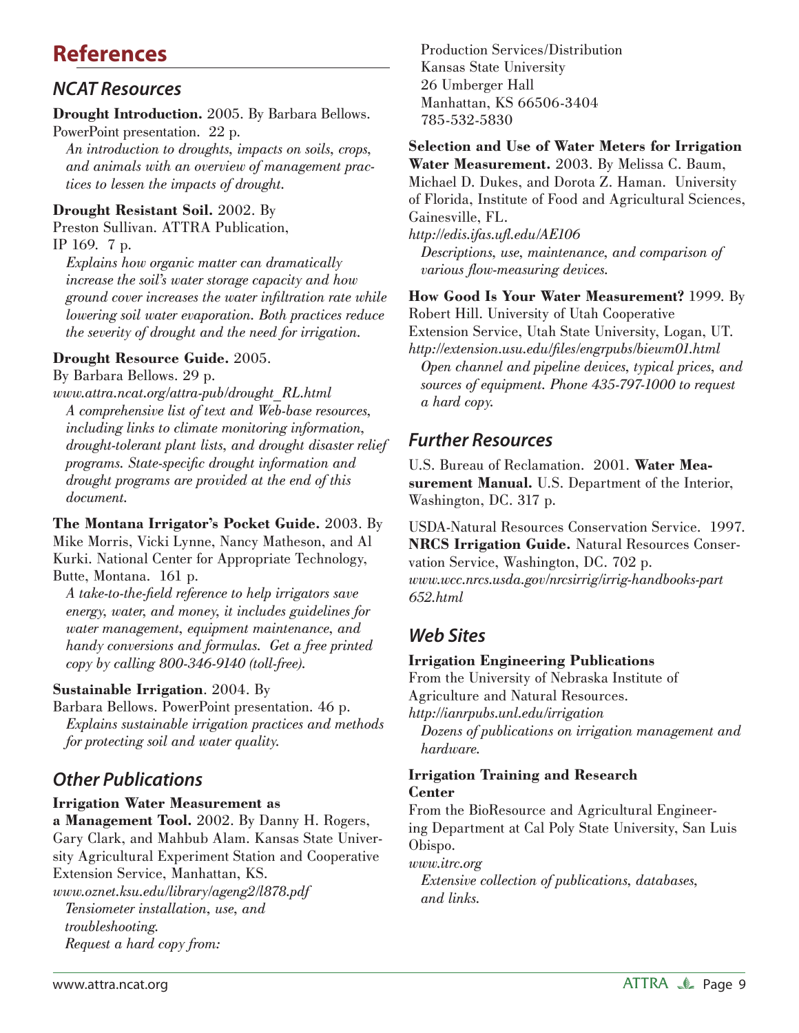# **References**

## *NCAT Resources*

**Drought Introduction.** 2005. By Barbara Bellows. PowerPoint presentation. 22 p.

 *An introduction to droughts, impacts on soils, crops, and animals with an overview of management practices to lessen the impacts of drought.*

## **Drought Resistant Soil.** 2002. By

Preston Sullivan. ATTRA Publication, IP 169. 7 p.

 *Explains how organic matter can dramatically increase the soil's water storage capacity and how ground cover increases the water infi ltration rate while lowering soil water evaporation. Both practices reduce the severity of drought and the need for irrigation.*

## **Drought Resource Guide.** 2005.

By Barbara Bellows. 29 p.

*www.attra.ncat.org/attra-pub/drought\_RL.html A comprehensive list of text and Web-base resources, including links to climate monitoring information, drought-tolerant plant lists, and drought disaster relief programs. State-specific drought information and drought programs are provided at the end of this document.*

**The Montana Irrigator's Pocket Guide.** 2003. By Mike Morris, Vicki Lynne, Nancy Matheson, and Al Kurki. National Center for Appropriate Technology, Butte, Montana. 161 p.

 *A take-to-the-fi eld reference to help irrigators save energy, water, and money, it includes guidelines for water management, equipment maintenance, and handy conversions and formulas. Get a free printed copy by calling 800-346-9140 (toll-free).*

## **Sustainable Irrigation**. 2004. By

Barbara Bellows. PowerPoint presentation. 46 p. *Explains sustainable irrigation practices and methods for protecting soil and water quality.*

## *Other Publications*

## **Irrigation Water Measurement as**

**a Management Tool.** 2002. By Danny H. Rogers, Gary Clark, and Mahbub Alam. Kansas State University Agricultural Experiment Station and Cooperative Extension Service, Manhattan, KS.

*www.oznet.ksu.edu/library/ageng2/l878.pdf Tensiometer installation, use, and troubleshooting. Request a hard copy from:*

Production Services/Distribution Kansas State University 26 Umberger Hall Manhattan, KS 66506-3404 785-532-5830

#### **Selection and Use of Water Meters for Irrigation Water Measurement.** 2003. By Melissa C. Baum, Michael D. Dukes, and Dorota Z. Haman. University of Florida, Institute of Food and Agricultural Sciences, Gainesville, FL.

*http://edis.ifas.ufl .edu/AE106 Descriptions, use, maintenance, and comparison of various flow-measuring devices.* 

**How Good Is Your Water Measurement?** 1999. By Robert Hill. University of Utah Cooperative Extension Service, Utah State University, Logan, UT. *http://extension.usu.edu/fi les/engrpubs/biewm01.html Open channel and pipeline devices, typical prices, and sources of equipment. Phone 435-797-1000 to request a hard copy.*

## *Further Resources*

U.S. Bureau of Reclamation. 2001. **Water Measurement Manual.** U.S. Department of the Interior, Washington, DC. 317 p.

USDA-Natural Resources Conservation Service. 1997. **NRCS Irrigation Guide.** Natural Resources Conservation Service, Washington, DC. 702 p. *www.wcc.nrcs.usda.gov/nrcsirrig/irrig-handbooks-part 652.html*

## *Web Sites*

## **Irrigation Engineering Publications**

From the University of Nebraska Institute of Agriculture and Natural Resources.

*http://ianrpubs.unl.edu/irrigation*

 *Dozens of publications on irrigation management and hardware.* 

## **Irrigation Training and Research Center**

From the BioResource and Agricultural Engineering Department at Cal Poly State University, San Luis Obispo.

## *www.itrc.org*

 *Extensive collection of publications, databases, and links.*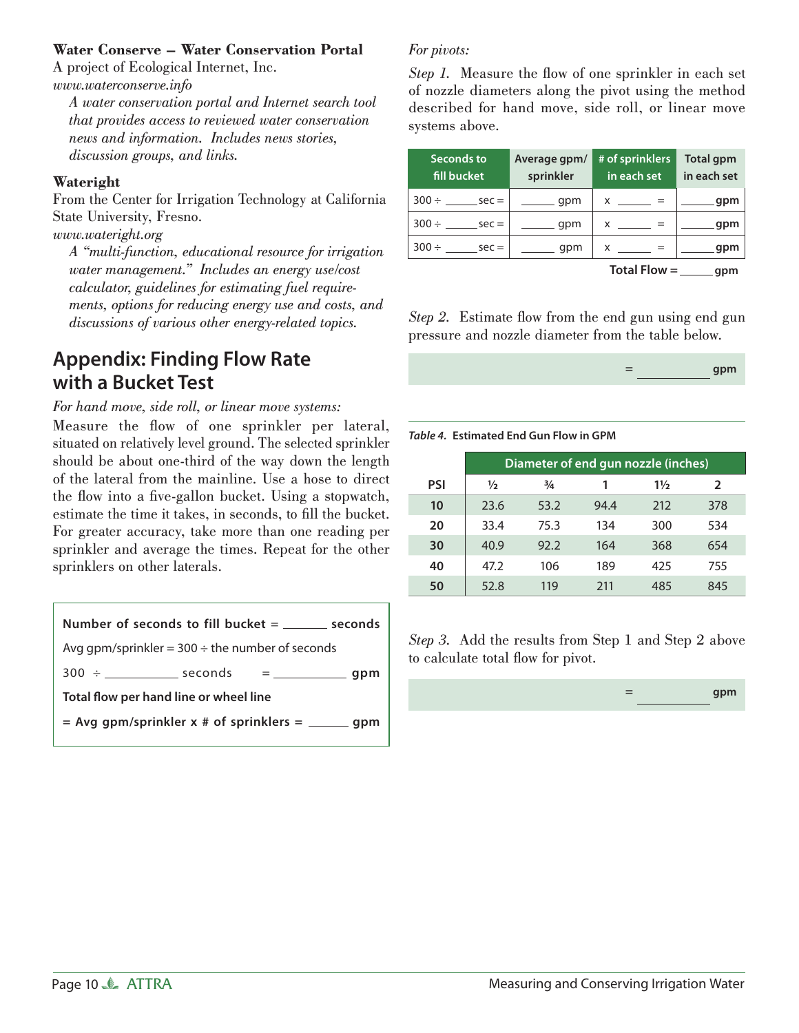#### **Water Conserve – Water Conservation Portal**

A project of Ecological Internet, Inc. *www.waterconserve.info*

 *A water conservation portal and Internet search tool that provides access to reviewed water conservation news and information. Includes news stories, discussion groups, and links.*

#### **Wateright**

From the Center for Irrigation Technology at California State University, Fresno.

*www.wateright.org*

 *A "multi-function, educational resource for irrigation water management." Includes an energy use/cost calculator, guidelines for estimating fuel requirements, options for reducing energy use and costs, and discussions of various other energy-related topics.*

## **Appendix: Finding Flow Rate with a Bucket Test**

*For hand move, side roll, or linear move systems:*

Measure the flow of one sprinkler per lateral, situated on relatively level ground. The selected sprinkler should be about one-third of the way down the length of the lateral from the mainline. Use a hose to direct the flow into a five-gallon bucket. Using a stopwatch, estimate the time it takes, in seconds, to fill the bucket. For greater accuracy, take more than one reading per sprinkler and average the times. Repeat for the other sprinklers on other laterals.



## *For pivots:*

*Step 1.* Measure the flow of one sprinkler in each set of nozzle diameters along the pivot using the method described for hand move, side roll, or linear move systems above.

| Seconds to<br>fill bucket | Average gpm/<br>sprinkler | # of sprinklers<br>in each set | <b>Total gpm</b><br>in each set |  |  |
|---------------------------|---------------------------|--------------------------------|---------------------------------|--|--|
| $300 \div$ sec =          | $\frac{1}{\sqrt{2}}$ qpm  | $x =$                          | $\frac{1}{2}$ gpm               |  |  |
| $300 \div$ sec =          | $\rule{1em}{0.15mm}$ qpm  | $x =$                          | <u>_____</u> gpm                |  |  |
| $300 \div$ sec =          | $\frac{1}{\sqrt{2}}$ gpm  | $x =$                          | gpm                             |  |  |
|                           |                           | Total Flow $=$ _______ gpm     |                                 |  |  |

*Step 2.* Estimate flow from the end gun using end gun pressure and nozzle diameter from the table below.

| - | gpm |
|---|-----|
|---|-----|

*Table 4.* **Estimated End Gun Flow in GPM**

|     | Diameter of end gun nozzle (inches) |               |      |                |     |  |  |  |  |
|-----|-------------------------------------|---------------|------|----------------|-----|--|--|--|--|
| PSI | ⅓                                   | $\frac{3}{4}$ |      | $1\frac{1}{2}$ | 2   |  |  |  |  |
| 10  | 23.6                                | 53.2          | 94.4 | 212            | 378 |  |  |  |  |
| 20  | 33.4                                | 75.3          | 134  | 300            | 534 |  |  |  |  |
| 30  | 40.9                                | 92.2          | 164  | 368            | 654 |  |  |  |  |
| 40  | 47.2                                | 106           | 189  | 425            | 755 |  |  |  |  |
| 50  | 52.8                                | 119           | 211  | 485            | 845 |  |  |  |  |

*Step 3.* Add the results from Step 1 and Step 2 above to calculate total flow for pivot.

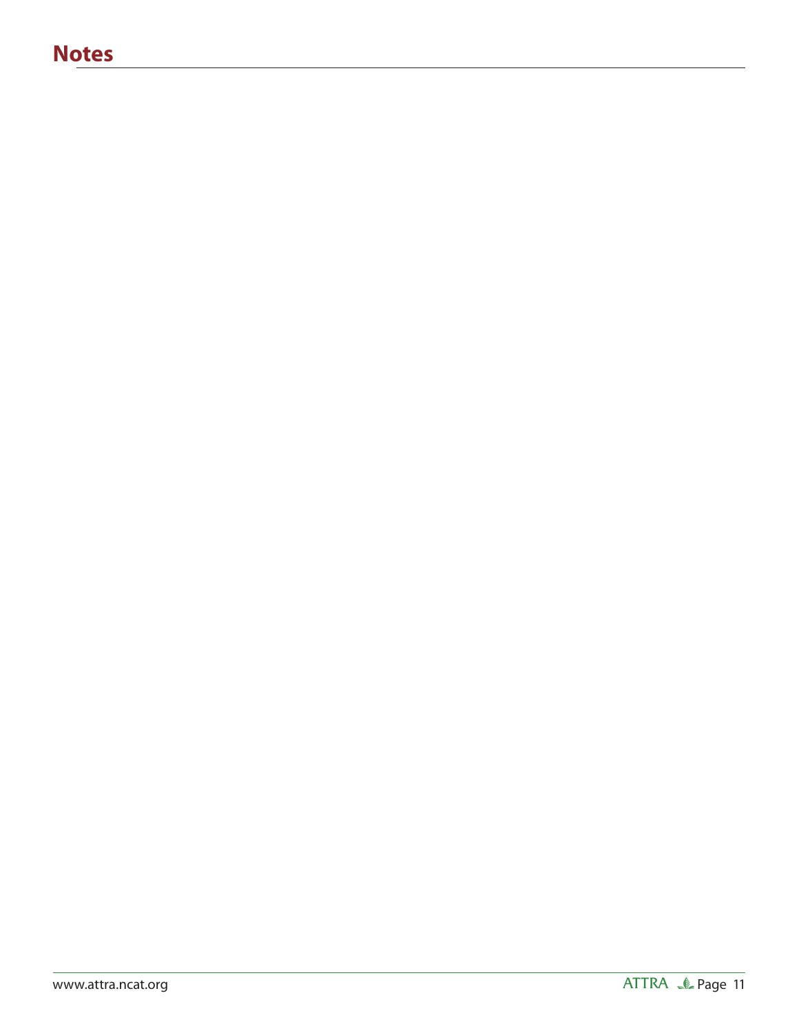# **Notes**